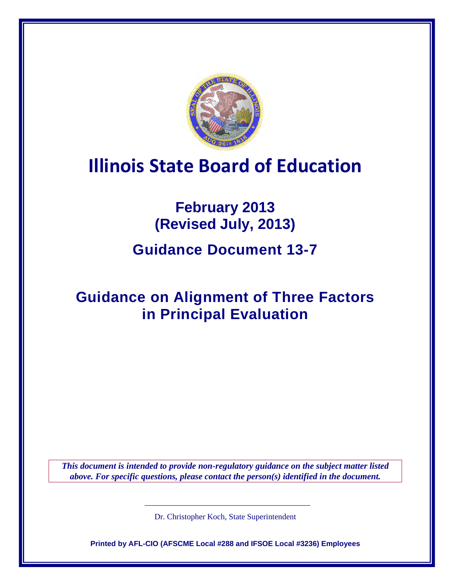

# **Illinois State Board of Education**

# **February 2013 (Revised July, 2013)**

## **Guidance Document 13-7**

## **Guidance on Alignment of Three Factors in Principal Evaluation**

*This document is intended to provide non-regulatory guidance on the subject matter listed above. For specific questions, please contact the person(s) identified in the document.*

Dr. Christopher Koch, State Superintendent

**Printed by AFL-CIO (AFSCME Local #288 and IFSOE Local #3236) Employees**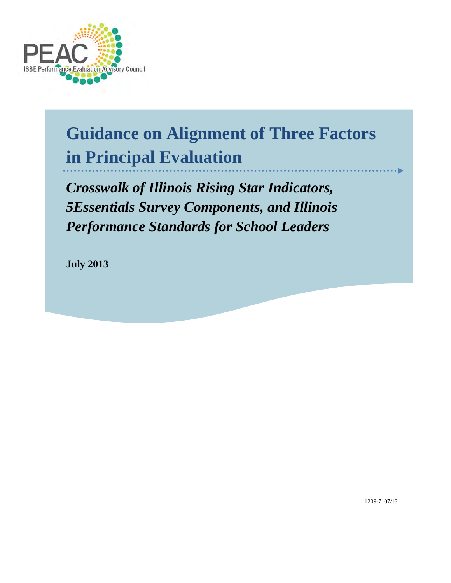

# **Guidance on Alignment of Three Factors in Principal Evaluation**

*Crosswalk of Illinois Rising Star Indicators, 5Essentials Survey Components, and Illinois Performance Standards for School Leaders*

**July 2013**

1209-7\_07/13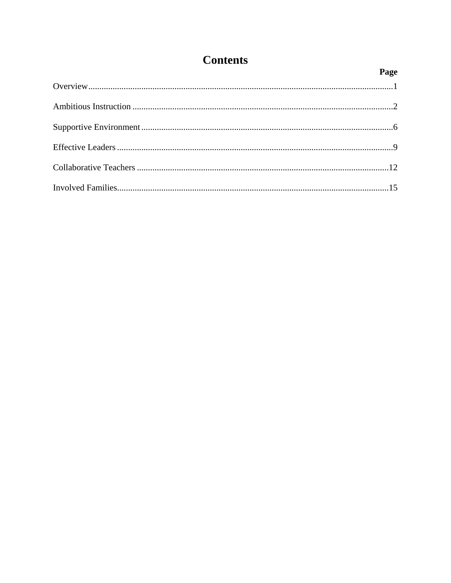#### **Contents**

| Page |
|------|
|      |
|      |
|      |
|      |
|      |
|      |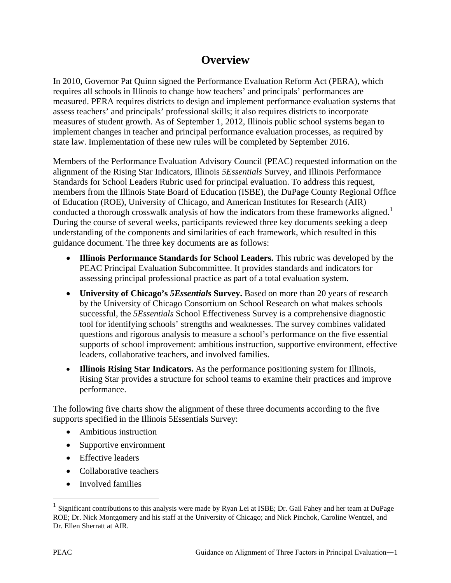#### **Overview**

In 2010, Governor Pat Quinn signed the Performance Evaluation Reform Act (PERA), which requires all schools in Illinois to change how teachers' and principals' performances are measured. PERA requires districts to design and implement performance evaluation systems that assess teachers' and principals' professional skills; it also requires districts to incorporate measures of student growth. As of September 1, 2012, Illinois public school systems began to implement changes in teacher and principal performance evaluation processes, as required by state law. Implementation of these new rules will be completed by September 2016.

Members of the Performance Evaluation Advisory Council (PEAC) requested information on the alignment of the Rising Star Indicators, Illinois *5Essentials* Survey, and Illinois Performance Standards for School Leaders Rubric used for principal evaluation. To address this request, members from the Illinois State Board of Education (ISBE), the DuPage County Regional Office of Education (ROE), University of Chicago, and American Institutes for Research (AIR) conducted a thorough crosswalk analysis of how the indicators from these frameworks aligned.<sup>[1](#page-3-0)</sup> During the course of several weeks, participants reviewed three key documents seeking a deep understanding of the components and similarities of each framework, which resulted in this guidance document. The three key documents are as follows:

- **Illinois Performance Standards for School Leaders.** This rubric was developed by the PEAC Principal Evaluation Subcommittee. It provides standards and indicators for assessing principal professional practice as part of a total evaluation system.
- **University of Chicago's 5Essentials Survey.** Based on more than 20 years of research by the University of Chicago Consortium on School Research on what makes schools successful, the *5Essentials* School Effectiveness Survey is a comprehensive diagnostic tool for identifying schools' strengths and weaknesses. The survey combines validated questions and rigorous analysis to measure a school's performance on the five essential supports of school improvement: ambitious instruction, supportive environment, effective leaders, collaborative teachers, and involved families.
- **Illinois Rising Star Indicators.** As the performance positioning system for Illinois, Rising Star provides a structure for school teams to examine their practices and improve performance.

The following five charts show the alignment of these three documents according to the five supports specified in the Illinois 5Essentials Survey:

- Ambitious instruction
- Supportive environment
- Effective leaders
- Collaborative teachers
- Involved families

 $\overline{a}$ 

<span id="page-3-0"></span><sup>1</sup> Significant contributions to this analysis were made by Ryan Lei at ISBE; Dr. Gail Fahey and her team at DuPage ROE; Dr. Nick Montgomery and his staff at the University of Chicago; and Nick Pinchok, Caroline Wentzel, and Dr. Ellen Sherratt at AIR.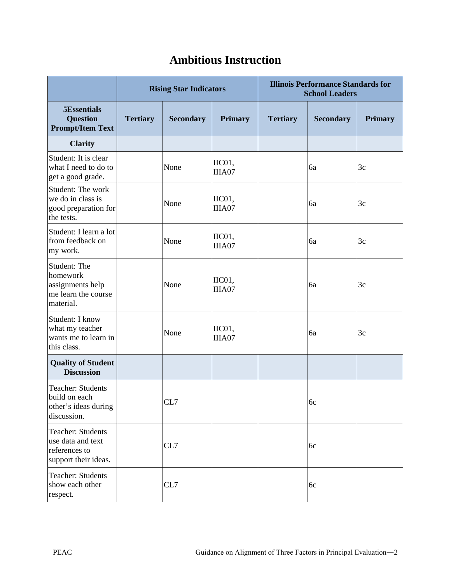### **Ambitious Instruction**

|                                                                                        |                 | <b>Rising Star Indicators</b> |                           | <b>Illinois Performance Standards for</b><br><b>School Leaders</b> |                  |                |  |
|----------------------------------------------------------------------------------------|-----------------|-------------------------------|---------------------------|--------------------------------------------------------------------|------------------|----------------|--|
| 5Essentials<br><b>Question</b><br><b>Prompt/Item Text</b>                              | <b>Tertiary</b> | <b>Secondary</b>              | <b>Primary</b>            | <b>Tertiary</b>                                                    | <b>Secondary</b> | <b>Primary</b> |  |
| <b>Clarity</b>                                                                         |                 |                               |                           |                                                                    |                  |                |  |
| Student: It is clear<br>what I need to do to<br>get a good grade.                      |                 | None                          | IIC01,<br>IIIA07          |                                                                    | 6a               | 3c             |  |
| Student: The work<br>we do in class is<br>good preparation for<br>the tests.           |                 | None                          | IIC01,<br>IIIA07          |                                                                    | 6a               | 3c             |  |
| Student: I learn a lot<br>from feedback on<br>my work.                                 |                 | None                          | IIC01,<br>IIIA07          |                                                                    | 6a               | 3c             |  |
| Student: The<br>homework<br>assignments help<br>me learn the course<br>material.       |                 | None                          | IIC01,<br>IIIA07          |                                                                    | 6a               | 3c             |  |
| Student: I know<br>what my teacher<br>wants me to learn in<br>this class.              |                 | None                          | $\text{IIC}01,$<br>IIIA07 |                                                                    | 6a               | 3c             |  |
| <b>Quality of Student</b><br><b>Discussion</b>                                         |                 |                               |                           |                                                                    |                  |                |  |
| <b>Teacher: Students</b><br>build on each<br>other's ideas during<br>discussion.       |                 | CL7                           |                           |                                                                    | 6c               |                |  |
| <b>Teacher: Students</b><br>use data and text<br>references to<br>support their ideas. |                 | CL7                           |                           |                                                                    | 6c               |                |  |
| <b>Teacher: Students</b><br>show each other<br>respect.                                |                 | CL7                           |                           |                                                                    | 6c               |                |  |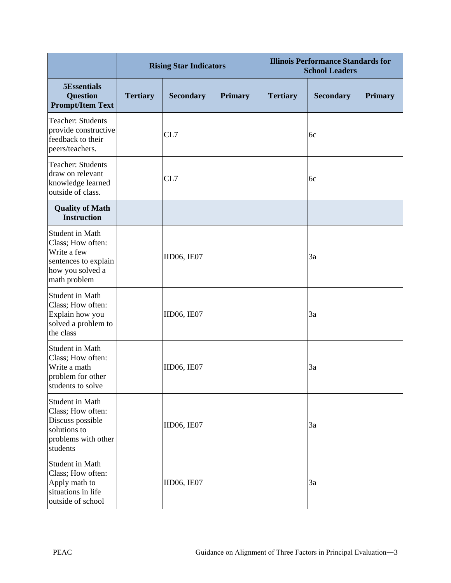|                                                                                                                 |                 | <b>Rising Star Indicators</b> |                | <b>Illinois Performance Standards for</b><br><b>School Leaders</b> |                  |                |  |
|-----------------------------------------------------------------------------------------------------------------|-----------------|-------------------------------|----------------|--------------------------------------------------------------------|------------------|----------------|--|
| <b>5Essentials</b><br><b>Question</b><br><b>Prompt/Item Text</b>                                                | <b>Tertiary</b> | <b>Secondary</b>              | <b>Primary</b> | <b>Tertiary</b>                                                    | <b>Secondary</b> | <b>Primary</b> |  |
| <b>Teacher: Students</b><br>provide constructive<br>feedback to their<br>peers/teachers.                        |                 | CL7                           |                |                                                                    | 6c               |                |  |
| <b>Teacher: Students</b><br>draw on relevant<br>knowledge learned<br>outside of class.                          |                 | CL7                           |                |                                                                    | 6c               |                |  |
| <b>Quality of Math</b><br><b>Instruction</b>                                                                    |                 |                               |                |                                                                    |                  |                |  |
| Student in Math<br>Class; How often:<br>Write a few<br>sentences to explain<br>how you solved a<br>math problem |                 | IID06, IE07                   |                |                                                                    | 3a               |                |  |
| Student in Math<br>Class; How often:<br>Explain how you<br>solved a problem to<br>the class                     |                 | IID06, IE07                   |                |                                                                    | 3a               |                |  |
| <b>Student in Math</b><br>Class; How often:<br>Write a math<br>problem for other<br>students to solve           |                 | IID06, IE07                   |                |                                                                    | 3a               |                |  |
| Student in Math<br>Class; How often:<br>Discuss possible<br>solutions to<br>problems with other<br>students     |                 | IID06, IE07                   |                |                                                                    | 3a               |                |  |
| <b>Student in Math</b><br>Class; How often:<br>Apply math to<br>situations in life<br>outside of school         |                 | <b>IID06, IE07</b>            |                |                                                                    | 3a               |                |  |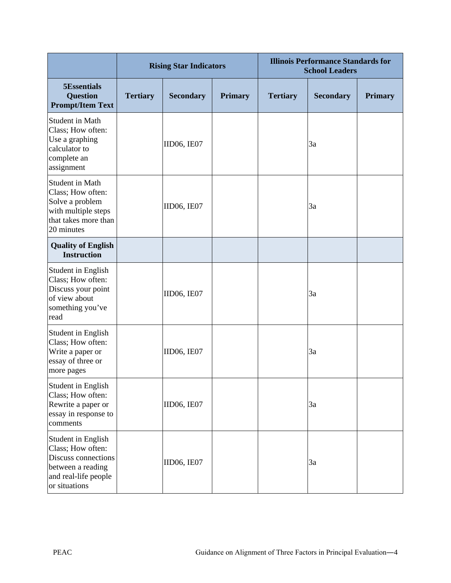|                                                                                                                              |                 | <b>Rising Star Indicators</b> |                | <b>Illinois Performance Standards for</b><br><b>School Leaders</b> |                  |                |
|------------------------------------------------------------------------------------------------------------------------------|-----------------|-------------------------------|----------------|--------------------------------------------------------------------|------------------|----------------|
| 5Essentials<br><b>Question</b><br><b>Prompt/Item Text</b>                                                                    | <b>Tertiary</b> | <b>Secondary</b>              | <b>Primary</b> | <b>Tertiary</b>                                                    | <b>Secondary</b> | <b>Primary</b> |
| <b>Student in Math</b><br>Class; How often:<br>Use a graphing<br>calculator to<br>complete an<br>assignment                  |                 | IID06, IE07                   |                |                                                                    | 3a               |                |
| <b>Student in Math</b><br>Class; How often:<br>Solve a problem<br>with multiple steps<br>that takes more than<br>20 minutes  |                 | IID06, IE07                   |                |                                                                    | 3a               |                |
| <b>Quality of English</b><br><b>Instruction</b>                                                                              |                 |                               |                |                                                                    |                  |                |
| Student in English<br>Class; How often:<br>Discuss your point<br>of view about<br>something you've<br>read                   |                 | IID06, IE07                   |                |                                                                    | 3a               |                |
| Student in English<br>Class; How often:<br>Write a paper or<br>essay of three or<br>more pages                               |                 | IID06, IE07                   |                |                                                                    | 3a               |                |
| Student in English<br>Class; How often:<br>Rewrite a paper or<br>essay in response to<br>comments                            |                 | IID06, IE07                   |                |                                                                    | 3a               |                |
| Student in English<br>Class; How often:<br>Discuss connections<br>between a reading<br>and real-life people<br>or situations |                 | IID06, IE07                   |                |                                                                    | 3a               |                |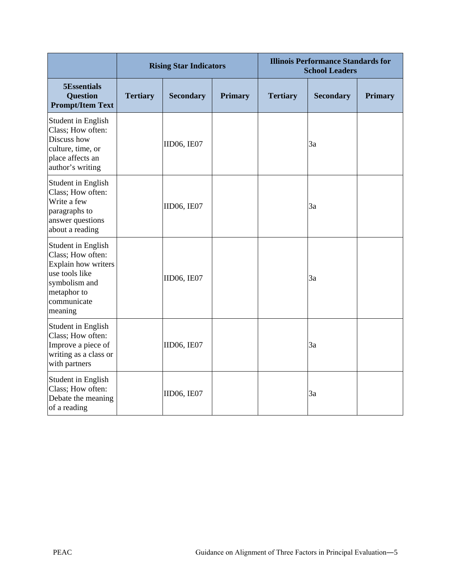|                                                                                                                                            |                 | <b>Rising Star Indicators</b> |                | <b>Illinois Performance Standards for</b><br><b>School Leaders</b> |                  |                |  |
|--------------------------------------------------------------------------------------------------------------------------------------------|-----------------|-------------------------------|----------------|--------------------------------------------------------------------|------------------|----------------|--|
| 5Essentials<br><b>Question</b><br><b>Prompt/Item Text</b>                                                                                  | <b>Tertiary</b> | <b>Secondary</b>              | <b>Primary</b> | <b>Tertiary</b>                                                    | <b>Secondary</b> | <b>Primary</b> |  |
| <b>Student in English</b><br>Class; How often:<br>Discuss how<br>culture, time, or<br>place affects an<br>author's writing                 |                 | <b>IID06, IE07</b>            |                |                                                                    | 3a               |                |  |
| Student in English<br>Class; How often:<br>Write a few<br>paragraphs to<br>answer questions<br>about a reading                             |                 | IID06, IE07                   |                |                                                                    | 3a               |                |  |
| Student in English<br>Class; How often:<br>Explain how writers<br>use tools like<br>symbolism and<br>metaphor to<br>communicate<br>meaning |                 | <b>IID06, IE07</b>            |                |                                                                    | 3a               |                |  |
| Student in English<br>Class; How often:<br>Improve a piece of<br>writing as a class or<br>with partners                                    |                 | IID06, IE07                   |                |                                                                    | 3a               |                |  |
| Student in English<br>Class; How often:<br>Debate the meaning<br>of a reading                                                              |                 | IID06, IE07                   |                |                                                                    | 3a               |                |  |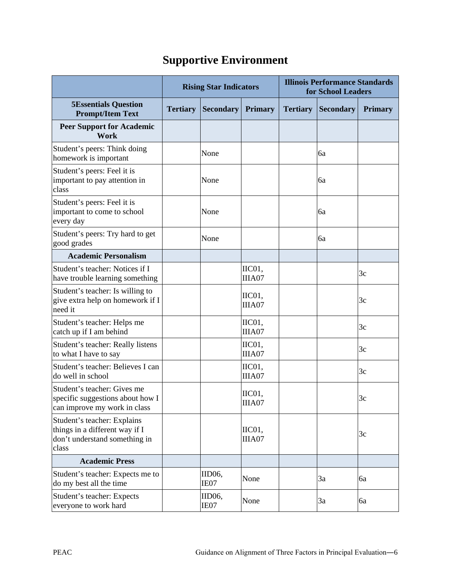### **Supportive Environment**

|                                                                                                         | <b>Rising Star Indicators</b> |                           |                   | <b>Illinois Performance Standards</b><br>for School Leaders |                  |                |  |
|---------------------------------------------------------------------------------------------------------|-------------------------------|---------------------------|-------------------|-------------------------------------------------------------|------------------|----------------|--|
| <b>5Essentials Question</b><br><b>Prompt/Item Text</b>                                                  | <b>Tertiary</b>               | <b>Secondary</b>          | <b>Primary</b>    | <b>Tertiary</b>                                             | <b>Secondary</b> | <b>Primary</b> |  |
| <b>Peer Support for Academic</b><br>Work                                                                |                               |                           |                   |                                                             |                  |                |  |
| Student's peers: Think doing<br>homework is important                                                   |                               | None                      |                   |                                                             | 6a               |                |  |
| Student's peers: Feel it is<br>important to pay attention in<br>class                                   |                               | None                      |                   |                                                             | 6a               |                |  |
| Student's peers: Feel it is<br>important to come to school<br>every day                                 |                               | None                      |                   |                                                             | <b>6a</b>        |                |  |
| Student's peers: Try hard to get<br>good grades                                                         |                               | None                      |                   |                                                             | 6a               |                |  |
| <b>Academic Personalism</b>                                                                             |                               |                           |                   |                                                             |                  |                |  |
| Student's teacher: Notices if I<br>have trouble learning something                                      |                               |                           | IIC01,<br>IIIA07  |                                                             |                  | 3c             |  |
| Student's teacher: Is willing to<br>give extra help on homework if I<br>need it                         |                               |                           | IIC01,<br>IIIA07  |                                                             |                  | 3c             |  |
| Student's teacher: Helps me<br>catch up if I am behind                                                  |                               |                           | IIC01,<br>IIIA07  |                                                             |                  | 3c             |  |
| Student's teacher: Really listens<br>to what I have to say                                              |                               |                           | $IICO1$<br>IIIA07 |                                                             |                  | 3c             |  |
| Student's teacher: Believes I can<br>do well in school                                                  |                               |                           | IIC01,<br>IIIA07  |                                                             |                  | 3c             |  |
| Student's teacher: Gives me<br>specific suggestions about how I<br>can improve my work in class         |                               |                           | IIC01,<br>IIIA07  |                                                             |                  | 3c             |  |
| Student's teacher: Explains<br>things in a different way if I<br>don't understand something in<br>class |                               |                           | IIC01,<br>IIIA07  |                                                             |                  | 3c             |  |
| <b>Academic Press</b>                                                                                   |                               |                           |                   |                                                             |                  |                |  |
| Student's teacher: Expects me to<br>do my best all the time                                             |                               | IID <sub>06</sub><br>IE07 | None              |                                                             | 3a               | 6a             |  |
| Student's teacher: Expects<br>everyone to work hard                                                     |                               | IID06,<br>IE07            | None              |                                                             | 3a               | 6a             |  |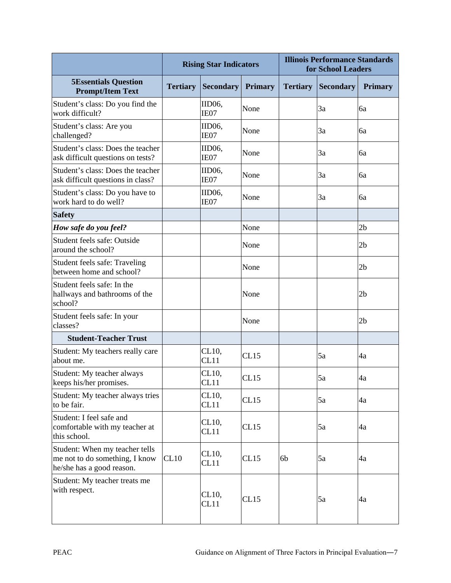|                                                                                               | <b>Rising Star Indicators</b> |                           | <b>Illinois Performance Standards</b><br>for School Leaders |                 |                  |                |
|-----------------------------------------------------------------------------------------------|-------------------------------|---------------------------|-------------------------------------------------------------|-----------------|------------------|----------------|
| <b>5Essentials Question</b><br><b>Prompt/Item Text</b>                                        | <b>Tertiary</b>               | <b>Secondary</b>          | <b>Primary</b>                                              | <b>Tertiary</b> | <b>Secondary</b> | <b>Primary</b> |
| Student's class: Do you find the<br>work difficult?                                           |                               | IID06,<br>IE07            | None                                                        |                 | 3a               | ба             |
| Student's class: Are you<br>challenged?                                                       |                               | IID <sub>06</sub><br>IE07 | None                                                        |                 | 3a               | 6a             |
| Student's class: Does the teacher<br>ask difficult questions on tests?                        |                               | IID <sub>06</sub><br>IE07 | None                                                        |                 | 3a               | 6a             |
| Student's class: Does the teacher<br>ask difficult questions in class?                        |                               | IID <sub>06</sub><br>IE07 | None                                                        |                 | 3a               | 6a             |
| Student's class: Do you have to<br>work hard to do well?                                      |                               | IID <sub>06</sub><br>IE07 | None                                                        |                 | 3a               | 6a             |
| <b>Safety</b>                                                                                 |                               |                           |                                                             |                 |                  |                |
| How safe do you feel?                                                                         |                               |                           | None                                                        |                 |                  | 2 <sub>b</sub> |
| Student feels safe: Outside<br>around the school?                                             |                               |                           | None                                                        |                 |                  | 2 <sub>b</sub> |
| Student feels safe: Traveling<br>between home and school?                                     |                               |                           | None                                                        |                 |                  | 2 <sub>b</sub> |
| Student feels safe: In the<br>hallways and bathrooms of the<br>school?                        |                               |                           | None                                                        |                 |                  | 2 <sub>b</sub> |
| Student feels safe: In your<br>classes?                                                       |                               |                           | None                                                        |                 |                  | 2 <sub>b</sub> |
| <b>Student-Teacher Trust</b>                                                                  |                               |                           |                                                             |                 |                  |                |
| Student: My teachers really care<br>about me.                                                 |                               | CL10,<br>CL11             | CL15                                                        |                 | 5a               | 4a             |
| Student: My teacher always<br>keeps his/her promises.                                         |                               | CL10,<br>CL11             | CL15                                                        |                 | 5a               | 4a             |
| Student: My teacher always tries<br>to be fair.                                               |                               | CL10,<br>CL11             | CL15                                                        |                 | 5a               | 4a             |
| Student: I feel safe and<br>comfortable with my teacher at<br>this school.                    |                               | CL10,<br>CL11             | CL15                                                        |                 | 5a               | 4a             |
| Student: When my teacher tells<br>me not to do something, I know<br>he/she has a good reason. | CL10                          | CL10,<br>CL11             | CL15                                                        | 6b              | 5a               | 4a             |
| Student: My teacher treats me<br>with respect.                                                |                               | CL10,<br>CL11             | CL15                                                        |                 | 5a               | 4a             |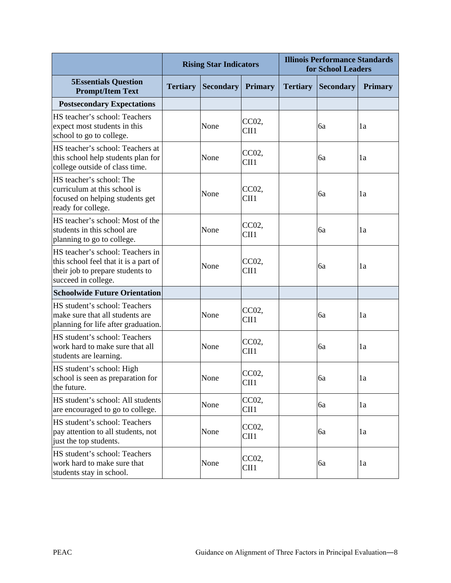|                                                                                                                                      |                 | <b>Rising Star Indicators</b> |                | <b>Illinois Performance Standards</b><br>for School Leaders |                  |                |
|--------------------------------------------------------------------------------------------------------------------------------------|-----------------|-------------------------------|----------------|-------------------------------------------------------------|------------------|----------------|
| <b>5Essentials Question</b><br><b>Prompt/Item Text</b>                                                                               | <b>Tertiary</b> | <b>Secondary</b>              | <b>Primary</b> | <b>Tertiary</b>                                             | <b>Secondary</b> | <b>Primary</b> |
| <b>Postsecondary Expectations</b>                                                                                                    |                 |                               |                |                                                             |                  |                |
| HS teacher's school: Teachers<br>expect most students in this<br>school to go to college.                                            |                 | None                          | CC02,<br>CII1  |                                                             | 6a               | 1a             |
| HS teacher's school: Teachers at<br>this school help students plan for<br>college outside of class time.                             |                 | None                          | CC02,<br>CII1  |                                                             | ба               | 1a             |
| HS teacher's school: The<br>curriculum at this school is<br>focused on helping students get<br>ready for college.                    |                 | None                          | CC02,<br>CII1  |                                                             | 6a               | 1a             |
| HS teacher's school: Most of the<br>students in this school are<br>planning to go to college.                                        |                 | None                          | CC02,<br>CII1  |                                                             | 6a               | 1a             |
| HS teacher's school: Teachers in<br>this school feel that it is a part of<br>their job to prepare students to<br>succeed in college. |                 | None                          | CC02,<br>CII1  |                                                             | 6a               | 1a             |
| <b>Schoolwide Future Orientation</b>                                                                                                 |                 |                               |                |                                                             |                  |                |
| HS student's school: Teachers<br>make sure that all students are<br>planning for life after graduation.                              |                 | None                          | CC02,<br>CII1  |                                                             | 6a               | 1a             |
| HS student's school: Teachers<br>work hard to make sure that all<br>students are learning.                                           |                 | None                          | CC02,<br>CII1  |                                                             | 6a               | 1a             |
| HS student's school: High<br>school is seen as preparation for<br>the future.                                                        |                 | None                          | CC02<br>CII1   |                                                             | 6a               | 1a             |
| HS student's school: All students<br>are encouraged to go to college.                                                                |                 | None                          | CC02,<br>CII1  |                                                             | 6a               | 1a             |
| HS student's school: Teachers<br>pay attention to all students, not<br>just the top students.                                        |                 | None                          | CC02,<br>CII1  |                                                             | 6a               | 1a             |
| HS student's school: Teachers<br>work hard to make sure that<br>students stay in school.                                             |                 | None                          | CC02,<br>CII1  |                                                             | 6a               | 1a             |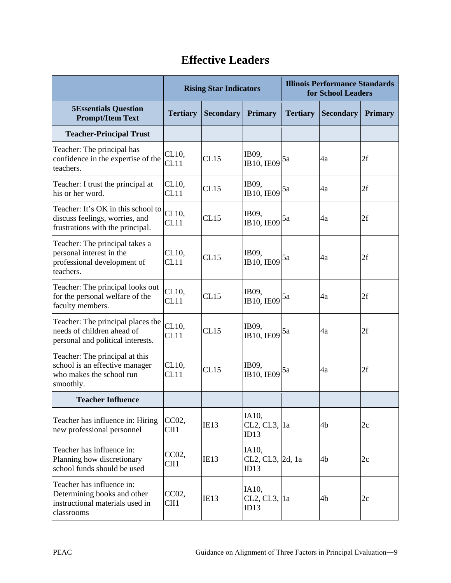#### **Rising Star Indicators Illinois Performance Standards for School Leaders 5Essentials Question Prompt/Item Text Tertiary Secondary Primary Tertiary Secondary Primary Teacher-Principal Trust** Teacher: The principal has confidence in the expertise of the teachers. CL10,<br>CL11 CL10, CL15  $\begin{array}{|l|l|}\n\hline\n\text{CDI1} & \text{CDI1} \\
\hline\n\text{CDI2} & \text{CDI2} \\
\hline\n\end{array}$   $\begin{array}{|l|l|}\n\hline\n\end{array}$   $\begin{array}{|l|l|}\n\hline\n\end{array}$   $\begin{array}{|l|l|}\n\hline\n\end{array}$   $\begin{array}{|l|l|}\n\hline\n\end{array}$   $\begin{array}{|l|l|}\n\hline\n\end{array}$   $\begin{array}{|l|l|}\n\hline\n\end{array}$   $\$ Teacher: I trust the principal at his or her word. CL10, CL10, CL15  $\begin{array}{|l|l|}\n\hline\n\text{CDI1} & \text{CDI1} \\
\hline\n\text{CDI2} & \text{CDI2} \\
\hline\n\end{array}$   $\begin{array}{|l|l|}\n\hline\n\end{array}$   $\begin{array}{|l|l|}\n\hline\n\end{array}$   $\begin{array}{|l|l|}\n\hline\n\end{array}$   $\begin{array}{|l|l|}\n\hline\n\end{array}$   $\begin{array}{|l|l|}\n\hline\n\end{array}$   $\begin{array}{|l|l|}\n\hline\n\end{array}$   $\$ Teacher: It's OK in this school to discuss feelings, worries, and frustrations with the principal. CL10, CL10, CL15  $\begin{array}{|l|l|}\n\hline\n\text{CDI1} & \text{CDI1} \\
\hline\n\text{CDI2} & \text{CDI2} \\
\hline\n\end{array}$   $\begin{array}{|l|l|}\n\hline\n\end{array}$   $\begin{array}{|l|l|}\n\hline\n\end{array}$   $\begin{array}{|l|l|}\n\hline\n\end{array}$   $\begin{array}{|l|l|}\n\hline\n\end{array}$   $\begin{array}{|l|l|}\n\hline\n\end{array}$   $\begin{array}{|l|l|}\n\hline\n\end{array}$   $\$ Teacher: The principal takes a personal interest in the professional development of teachers. CL10,  $\begin{array}{cc}\nCL10, \ CL15 \quad \text{[IB09,} \quad \text{[B10,} \quad \text{[B10,} \quad \text{[B10,} \quad \text{[B11,} \quad \text{[B11,} \quad \text{[B11,} \quad \text{[B11,} \quad \text{[B11,} \quad \text{[B11,} \quad \text{[A1,} \quad \text{[A1,} \quad \text{[A1,} \quad \text{[A1,} \quad \text{[A1,} \quad \text{[A1,} \quad \text{[A1,} \quad \text{[A1,} \quad \text{[A1,} \quad \text$ **IB09,**<br>**IB10, IE09** 5a 4a 2f Teacher: The principal looks out for the personal welfare of the faculty members. CL10, CL10, CL15  $\begin{array}{c|c}\n\text{IB09,} \\
\text{CL11} \\
\text{IB10,}\n\end{array}$ IB09,<br>IB10, IE09 5a 4a 2f Teacher: The principal places the needs of children ahead of personal and political interests. CL10, CL10, CL15  $\begin{array}{c|c}\n\text{IB09,} \\
\text{CL11} \\
\text{IB10,}\n\end{array}$ IB09,  $\begin{vmatrix} 5a & 4a & 2f \\ 4a & 2f & 2g \end{vmatrix}$ Teacher: The principal at this school is an effective manager who makes the school run smoothly. CL10, CL10, CL15  $\begin{array}{|l|l|}\n\hline\n\text{CDI1} & \text{CDI1} \\
\hline\n\text{CDI2} & \text{CDI2} \\
\hline\n\end{array}$   $\begin{array}{|l|l|}\n\hline\n\end{array}$   $\begin{array}{|l|l|}\n\hline\n\end{array}$   $\begin{array}{|l|l|}\n\hline\n\end{array}$   $\begin{array}{|l|l|}\n\hline\n\end{array}$   $\begin{array}{|l|l|}\n\hline\n\end{array}$   $\begin{array}{|l|l|}\n\hline\n\end{array}$   $\$ **Teacher Influence** Teacher has influence in: Hiring new professional personnel CC02,  $\text{CH1}$  IE13 IA10, CL2, CL3, 1a  $ID13$  $1a$   $4b$   $2c$ Teacher has influence in: Planning how discretionary school funds should be used CC02,  $\frac{CC02}{CII1}$  |IE13 IA10, CL2, CL3, 2d, 1a  $|4b|$  2c  $ID13$ Teacher has influence in: Determining books and other instructional materials used in classrooms CC02.  $\frac{CC02}{CII1}$  IE13 IA10, CL2, CL3,  $ID13$  $4b$  2c

#### **Effective Leaders**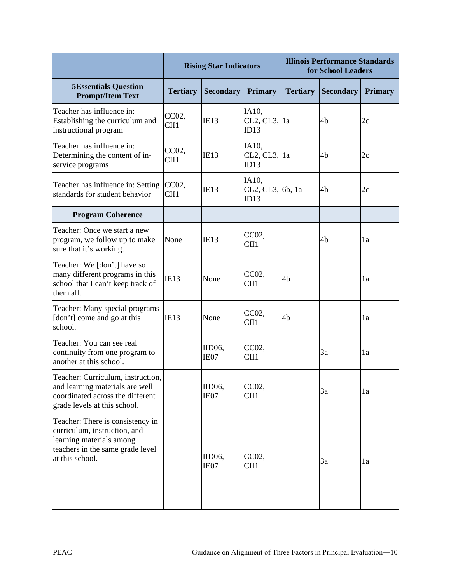|                                                                                                                                                     |                 | <b>Rising Star Indicators</b> |                                    | <b>Illinois Performance Standards</b><br>for School Leaders |                  |                |
|-----------------------------------------------------------------------------------------------------------------------------------------------------|-----------------|-------------------------------|------------------------------------|-------------------------------------------------------------|------------------|----------------|
| <b>5Essentials Question</b><br><b>Prompt/Item Text</b>                                                                                              | <b>Tertiary</b> | <b>Secondary</b>              | <b>Primary</b>                     | <b>Tertiary</b>                                             | <b>Secondary</b> | <b>Primary</b> |
| Teacher has influence in:<br>Establishing the curriculum and<br>instructional program                                                               | CC02,<br>CII1   | IE13                          | IA10,<br>CL2, CL3, 1a<br>ID13      |                                                             | 4b               | 2c             |
| Teacher has influence in:<br>Determining the content of in-<br>service programs                                                                     | CC02,<br>CII1   | IE13                          | IA10,<br>CL2, CL3, 1a<br>ID13      |                                                             | 4b               | 2c             |
| Teacher has influence in: Setting CC02,<br>standards for student behavior                                                                           | CII1            | IE13                          | IA10,<br>CL2, CL3,  6b, 1a<br>ID13 |                                                             | 4b               | 2c             |
| <b>Program Coherence</b>                                                                                                                            |                 |                               |                                    |                                                             |                  |                |
| Teacher: Once we start a new<br>program, we follow up to make<br>sure that it's working.                                                            | None            | IE13                          | CC02,<br>CII1                      |                                                             | 4b               | 1a             |
| Teacher: We [don't] have so<br>many different programs in this<br>school that I can't keep track of<br>them all.                                    | IE13            | None                          | CC02,<br>CII1                      | 4b                                                          |                  | la             |
| Teacher: Many special programs<br>[don't] come and go at this<br>school.                                                                            | IE13            | None                          | CC02,<br>CII1                      | 4b                                                          |                  | 1a             |
| Teacher: You can see real<br>continuity from one program to<br>another at this school.                                                              |                 | IID <sub>06</sub><br>IE07     | CC02,<br>CII1                      |                                                             | 3a               | 1a             |
| Teacher: Curriculum, instruction,<br>and learning materials are well<br>coordinated across the different<br>grade levels at this school.            |                 | IID06,<br>IE07                | CC02,<br>CII1                      |                                                             | 3a               | 1a             |
| Teacher: There is consistency in<br>curriculum, instruction, and<br>learning materials among<br>teachers in the same grade level<br>at this school. |                 | IID <sub>06</sub><br>IE07     | CC02,<br>CII1                      |                                                             | 3a               | 1a             |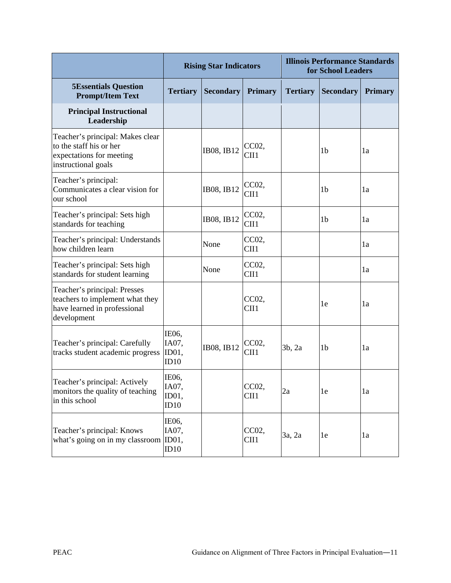|                                                                                                                |                                 | <b>Rising Star Indicators</b> |                | <b>Illinois Performance Standards</b><br>for School Leaders |                  |                |
|----------------------------------------------------------------------------------------------------------------|---------------------------------|-------------------------------|----------------|-------------------------------------------------------------|------------------|----------------|
| <b>5Essentials Question</b><br><b>Prompt/Item Text</b>                                                         | <b>Tertiary</b>                 | <b>Secondary</b>              | <b>Primary</b> | <b>Tertiary</b>                                             | <b>Secondary</b> | <b>Primary</b> |
| <b>Principal Instructional</b><br>Leadership                                                                   |                                 |                               |                |                                                             |                  |                |
| Teacher's principal: Makes clear<br>to the staff his or her<br>expectations for meeting<br>instructional goals |                                 | IB08, IB12                    | CC02,<br>CII1  |                                                             | 1 <sub>b</sub>   | 1a             |
| Teacher's principal:<br>Communicates a clear vision for<br>our school                                          |                                 | IB08, IB12                    | CC02,<br>CII1  |                                                             | 1 <sub>b</sub>   | 1a             |
| Teacher's principal: Sets high<br>standards for teaching                                                       |                                 | IB08, IB12                    | CC02,<br>CII1  |                                                             | 1 <sub>b</sub>   | 1a             |
| Teacher's principal: Understands<br>how children learn                                                         |                                 | None                          | CC02,<br>CII1  |                                                             |                  | 1a             |
| Teacher's principal: Sets high<br>standards for student learning                                               |                                 | None                          | CC02,<br>CII1  |                                                             |                  | 1a             |
| Teacher's principal: Presses<br>teachers to implement what they<br>have learned in professional<br>development |                                 |                               | CC02,<br>CII1  |                                                             | 1e               | 1a             |
| Teacher's principal: Carefully<br>tracks student academic progress                                             | IE06,<br>IA07,<br>ID01,<br>ID10 | IB08, IB12                    | CC02,<br>CII1  | 3b, 2a                                                      | 1 <sub>b</sub>   | 1a             |
| Teacher's principal: Actively<br>monitors the quality of teaching<br>in this school                            | IE06,<br>IA07,<br>ID01,<br>ID10 |                               | CC02,<br>CII1  | 2a                                                          | 1e               | 1a             |
| Teacher's principal: Knows<br>what's going on in my classroom ID01,                                            | IE06,<br>IA07,<br>ID10          |                               | CC02,<br>CII1  | 3a, 2a                                                      | 1e               | 1a             |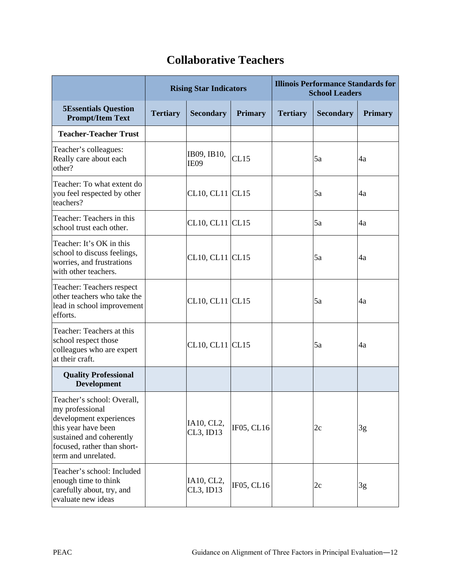#### **Rising Star Indicators Illinois Performance Standards for School Leaders 5Essentials Question Prompt/Item Text Tertiary Secondary Primary Tertiary Secondary Primary Teacher-Teacher Trust** Teacher's colleagues: Really care about each other? IB09, IB10,  $\overline{1609}$ ,  $\overline{1615}$   $\overline{5a}$   $\overline{4a}$ Teacher: To what extent do you feel respected by other teachers? CL10, CL11 | CL15  $\vert$  5a  $\vert$  4a Teacher: Teachers in this school trust each other.  $CL10, CL11$   $CL15$   $5a$   $4a$ Teacher: It's OK in this school to discuss feelings, worries, and frustrations with other teachers. CL10, CL11 | CL15  $\vert$  5a  $\vert$  4a Teacher: Teachers respect other teachers who take the lead in school improvement efforts. CL10, CL11  $|$ CL15  $|$ 5a  $|$ 4a Teacher: Teachers at this school respect those colleagues who are expert at their craft. CL10, CL11 CL15  $\vert$  5a  $\vert$  4a **Quality Professional Development** Teacher's school: Overall, my professional development experiences this year have been sustained and coherently focused, rather than shortterm and unrelated. IA10, CL2, CL3, ID13 | IF05, CL16 |  $2c$  |  $3g$ Teacher's school: Included

IA10, CL2,

#### **Collaborative Teachers**

CL3, ID13 | IF05, CL16 |  $2c$  |  $3g$ 

enough time to think carefully about, try, and evaluate new ideas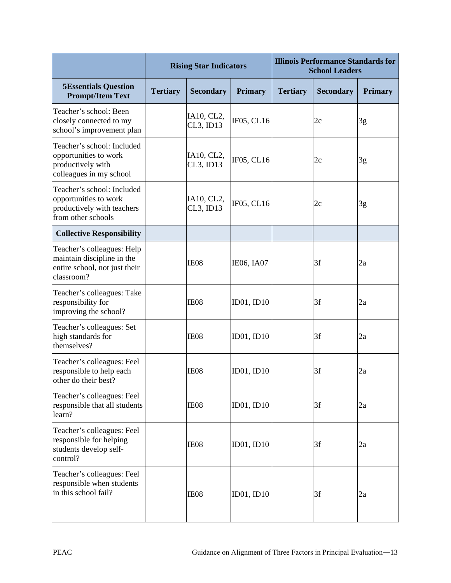|                                                                                                         |                 | <b>Rising Star Indicators</b> |                | <b>Illinois Performance Standards for</b><br><b>School Leaders</b> |                  |                |
|---------------------------------------------------------------------------------------------------------|-----------------|-------------------------------|----------------|--------------------------------------------------------------------|------------------|----------------|
| <b>5Essentials Question</b><br><b>Prompt/Item Text</b>                                                  | <b>Tertiary</b> | <b>Secondary</b>              | <b>Primary</b> | <b>Tertiary</b>                                                    | <b>Secondary</b> | <b>Primary</b> |
| Teacher's school: Been<br>closely connected to my<br>school's improvement plan                          |                 | IA10, CL2,<br>CL3, ID13       | IF05, CL16     |                                                                    | 2c               | 3g             |
| Teacher's school: Included<br>opportunities to work<br>productively with<br>colleagues in my school     |                 | IA10, CL2,<br>CL3, ID13       | IF05, CL16     |                                                                    | 2c               | 3g             |
| Teacher's school: Included<br>opportunities to work<br>productively with teachers<br>from other schools |                 | IA10, CL2,<br>CL3, ID13       | IF05, CL16     |                                                                    | 2c               | 3g             |
| <b>Collective Responsibility</b>                                                                        |                 |                               |                |                                                                    |                  |                |
| Teacher's colleagues: Help<br>maintain discipline in the<br>entire school, not just their<br>classroom? |                 | IE08                          | IE06, IA07     |                                                                    | 3f               | 2a             |
| Teacher's colleagues: Take<br>responsibility for<br>improving the school?                               |                 | IE08                          | ID01, ID10     |                                                                    | 3f               | 2a             |
| Teacher's colleagues: Set<br>high standards for<br>themselves?                                          |                 | IE08                          | ID01, ID10     |                                                                    | 3f               | 2a             |
| Teacher's colleagues: Feel<br>responsible to help each<br>other do their best?                          |                 | IE08                          | ID01, ID10     |                                                                    | 3f               | 2a             |
| Teacher's colleagues: Feel<br>responsible that all students<br>learn?                                   |                 | IE08                          | ID01, ID10     |                                                                    | 3f               | 2a             |
| Teacher's colleagues: Feel<br>responsible for helping<br>students develop self-<br>control?             |                 | IE08                          | ID01, ID10     |                                                                    | 3f               | 2a             |
| Teacher's colleagues: Feel<br>responsible when students<br>in this school fail?                         |                 | IE08                          | ID01, ID10     |                                                                    | 3f               | 2a             |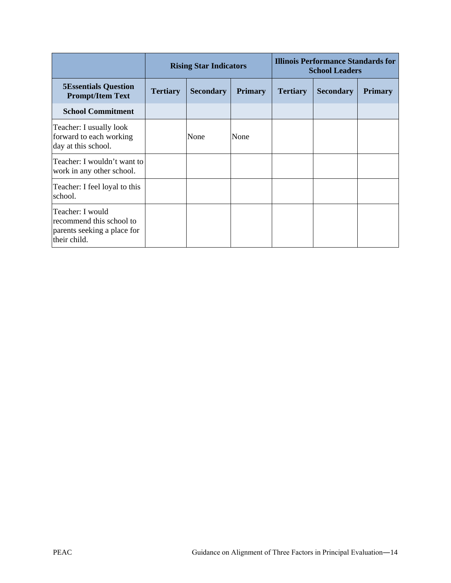|                                                                                             | <b>Rising Star Indicators</b> |                  |                |                 | Illinois Performance Standards for<br><b>School Leaders</b> |                |
|---------------------------------------------------------------------------------------------|-------------------------------|------------------|----------------|-----------------|-------------------------------------------------------------|----------------|
| <b>5Essentials Question</b><br><b>Prompt/Item Text</b>                                      | <b>Tertiary</b>               | <b>Secondary</b> | <b>Primary</b> | <b>Tertiary</b> | <b>Secondary</b>                                            | <b>Primary</b> |
| <b>School Commitment</b>                                                                    |                               |                  |                |                 |                                                             |                |
| Teacher: I usually look<br>forward to each working<br>day at this school.                   |                               | None             | None           |                 |                                                             |                |
| Teacher: I wouldn't want to<br>work in any other school.                                    |                               |                  |                |                 |                                                             |                |
| Teacher: I feel loyal to this<br>school.                                                    |                               |                  |                |                 |                                                             |                |
| Teacher: I would<br>recommend this school to<br>parents seeking a place for<br>their child. |                               |                  |                |                 |                                                             |                |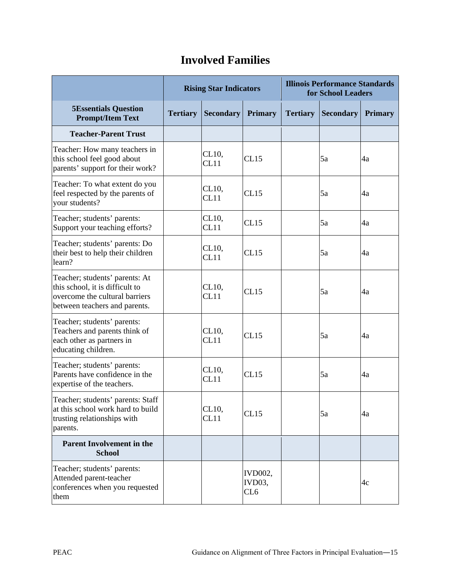|                                                                                                                                      | <b>Rising Star Indicators</b> |                  | <b>Illinois Performance Standards</b><br>for School Leaders |                 |                  |                |
|--------------------------------------------------------------------------------------------------------------------------------------|-------------------------------|------------------|-------------------------------------------------------------|-----------------|------------------|----------------|
| <b>5Essentials Question</b><br><b>Prompt/Item Text</b>                                                                               | <b>Tertiary</b>               | <b>Secondary</b> | <b>Primary</b>                                              | <b>Tertiary</b> | <b>Secondary</b> | <b>Primary</b> |
| <b>Teacher-Parent Trust</b>                                                                                                          |                               |                  |                                                             |                 |                  |                |
| Teacher: How many teachers in<br>this school feel good about<br>parents' support for their work?                                     |                               | CL10,<br>CL11    | CL15                                                        |                 | 5a               | 4a             |
| Teacher: To what extent do you<br>feel respected by the parents of<br>your students?                                                 |                               | CL10,<br>CL11    | CL15                                                        |                 | 5a               | 4a             |
| Teacher; students' parents:<br>Support your teaching efforts?                                                                        |                               | CL10,<br>CL11    | CL15                                                        |                 | 5a               | 4a             |
| Teacher; students' parents: Do<br>their best to help their children<br>learn?                                                        |                               | CL10,<br>CL11    | CL15                                                        |                 | 5a               | 4a             |
| Teacher; students' parents: At<br>this school, it is difficult to<br>overcome the cultural barriers<br>between teachers and parents. |                               | CL10,<br>CL11    | CL15                                                        |                 | 5a               | 4a             |
| Teacher; students' parents:<br>Teachers and parents think of<br>each other as partners in<br>educating children.                     |                               | CL10,<br>CL11    | CL15                                                        |                 | 5a               | 4a             |
| Teacher; students' parents:<br>Parents have confidence in the<br>expertise of the teachers.                                          |                               | CL10,<br>CL11    | CL15                                                        |                 | 5a               | 4a             |
| Teacher; students' parents: Staff<br>at this school work hard to build<br>trusting relationships with<br>parents.                    |                               | CL10,<br>CL11    | CL15                                                        |                 | 5a               | 4a             |
| <b>Parent Involvement in the</b><br><b>School</b>                                                                                    |                               |                  |                                                             |                 |                  |                |
| Teacher; students' parents:<br>Attended parent-teacher<br>conferences when you requested<br>them                                     |                               |                  | <b>IVD002,</b><br>IVD03,<br>CL <sub>6</sub>                 |                 |                  | 4c             |

#### **Involved Families**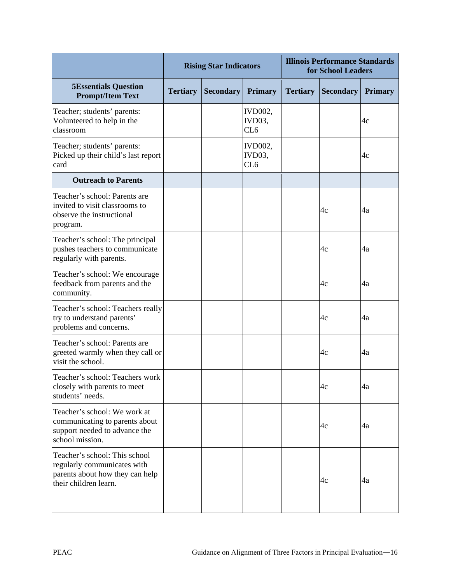|                                                                                                                          | <b>Rising Star Indicators</b> |                  |                                 | <b>Illinois Performance Standards</b><br>for School Leaders |                  |                |
|--------------------------------------------------------------------------------------------------------------------------|-------------------------------|------------------|---------------------------------|-------------------------------------------------------------|------------------|----------------|
| <b>5Essentials Question</b><br><b>Prompt/Item Text</b>                                                                   | <b>Tertiary</b>               | <b>Secondary</b> | <b>Primary</b>                  | <b>Tertiary</b>                                             | <b>Secondary</b> | <b>Primary</b> |
| Teacher; students' parents:<br>Volunteered to help in the<br>classroom                                                   |                               |                  | <b>IVD002,</b><br>IVD03,<br>CL6 |                                                             |                  | 4c             |
| Teacher; students' parents:<br>Picked up their child's last report<br>card                                               |                               |                  | <b>IVD002,</b><br>IVD03,<br>CL6 |                                                             |                  | 4c             |
| <b>Outreach to Parents</b>                                                                                               |                               |                  |                                 |                                                             |                  |                |
| Teacher's school: Parents are<br>invited to visit classrooms to<br>observe the instructional<br>program.                 |                               |                  |                                 |                                                             | 4c               | 4a             |
| Teacher's school: The principal<br>pushes teachers to communicate<br>regularly with parents.                             |                               |                  |                                 |                                                             | 4c               | 4a             |
| Teacher's school: We encourage<br>feedback from parents and the<br>community.                                            |                               |                  |                                 |                                                             | 4c               | 4a             |
| Teacher's school: Teachers really<br>try to understand parents'<br>problems and concerns.                                |                               |                  |                                 |                                                             | 4c               | 4a             |
| Teacher's school: Parents are<br>greeted warmly when they call or<br>visit the school.                                   |                               |                  |                                 |                                                             | 4c               | 4a             |
| Teacher's school: Teachers work<br>closely with parents to meet<br>students' needs.                                      |                               |                  |                                 |                                                             | 4c               | 4a             |
| Teacher's school: We work at<br>communicating to parents about<br>support needed to advance the<br>school mission.       |                               |                  |                                 |                                                             | 4c               | 4a             |
| Teacher's school: This school<br>regularly communicates with<br>parents about how they can help<br>their children learn. |                               |                  |                                 |                                                             | 4c               | 4a             |